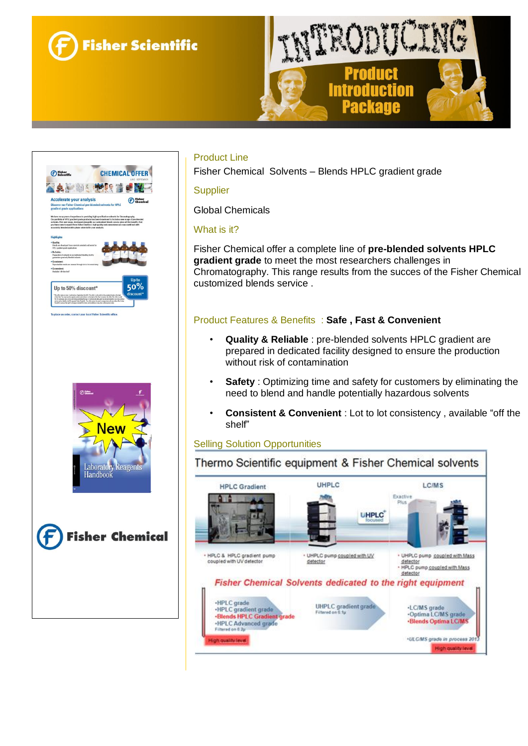







## Product Line

Fisher Chemical Solvents – Blends HPLC gradient grade

#### **Supplier**

Global Chemicals

#### What is it?

Fisher Chemical offer a complete line of **pre-blended solvents HPLC gradient grade** to meet the most researchers challenges in Chromatography. This range results from the succes of the Fisher Chemical customized blends service .

## Product Features & Benefits : **Safe , Fast & Convenient**

- **Quality & Reliable** : pre-blended solvents HPLC gradient are prepared in dedicated facility designed to ensure the production without risk of contamination
- **Safety** : Optimizing time and safety for customers by eliminating the need to blend and handle potentially hazardous solvents
- **Consistent & Convenient** : Lot to lot consistency , available "off the shelf"

#### Selling Solution Opportunities